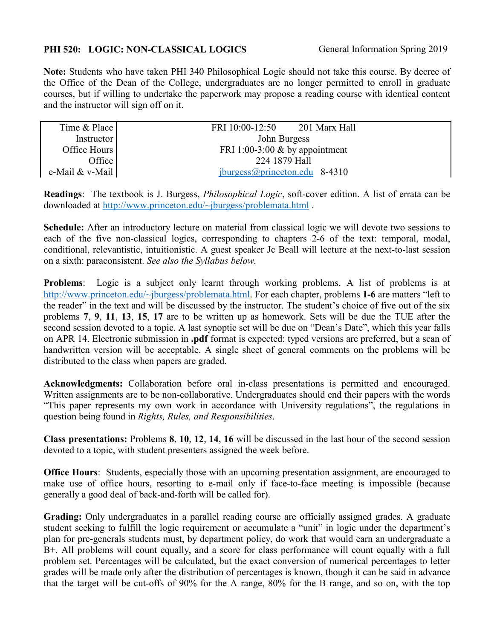## **PHI 520: LOGIC: NON-CLASSICAL LOGICS** General Information Spring 2019

**Note:** Students who have taken PHI 340 Philosophical Logic should not take this course. By decree of the Office of the Dean of the College, undergraduates are no longer permitted to enroll in graduate courses, but if willing to undertake the paperwork may propose a reading course with identical content and the instructor will sign off on it.

| Time & Place      | 201 Marx Hall<br>FRI 10:00-12:50 |
|-------------------|----------------------------------|
| <b>Instructor</b> | John Burgess                     |
| Office Hours      | FRI 1:00-3:00 $&$ by appointment |
| Office            | 224 1879 Hall                    |
| e-Mail & v-Mail   | $jburgess@princeton.edu$ 8-4310  |

**Readings**: The textbook is J. Burgess, *Philosophical Logic*, soft-cover edition. A list of errata can be downloaded at [http://www.princeton.edu/~jburgess/problemata.html](http://www.princeton.edu/%7Ejburgess/problemata.html) .

**Schedule:** After an introductory lecture on material from classical logic we will devote two sessions to each of the five non-classical logics, corresponding to chapters 2-6 of the text: temporal, modal, conditional, relevantistic, intuitionistic. A guest speaker Jc Beall will lecture at the next-to-last session on a sixth: paraconsistent. *See also the Syllabus below.*

**Problems**: Logic is a subject only learnt through working problems. A list of problems is at [http://www.princeton.edu/~jburgess/problemata.html.](http://www.princeton.edu/%7Ejburgess/problemata.html) For each chapter, problems **1-6** are matters "left to the reader" in the text and will be discussed by the instructor. The student's choice of five out of the six problems **7**, **9**, **11**, **13**, **15**, **17** are to be written up as homework. Sets will be due the TUE after the second session devoted to a topic. A last synoptic set will be due on "Dean's Date", which this year falls on APR 14. Electronic submission in **.pdf** format is expected: typed versions are preferred, but a scan of handwritten version will be acceptable. A single sheet of general comments on the problems will be distributed to the class when papers are graded.

**Acknowledgments:** Collaboration before oral in-class presentations is permitted and encouraged. Written assignments are to be non-collaborative. Undergraduates should end their papers with the words "This paper represents my own work in accordance with University regulations", the regulations in question being found in *Rights, Rules, and Responsibilities*.

**Class presentations:** Problems **8**, **10**, **12**, **14**, **16** will be discussed in the last hour of the second session devoted to a topic, with student presenters assigned the week before.

**Office Hours:** Students, especially those with an upcoming presentation assignment, are encouraged to make use of office hours, resorting to e-mail only if face-to-face meeting is impossible (because generally a good deal of back-and-forth will be called for).

**Grading:** Only undergraduates in a parallel reading course are officially assigned grades. A graduate student seeking to fulfill the logic requirement or accumulate a "unit" in logic under the department's plan for pre-generals students must, by department policy, do work that would earn an undergraduate a B+. All problems will count equally, and a score for class performance will count equally with a full problem set. Percentages will be calculated, but the exact conversion of numerical percentages to letter grades will be made only after the distribution of percentages is known, though it can be said in advance that the target will be cut-offs of 90% for the A range, 80% for the B range, and so on, with the top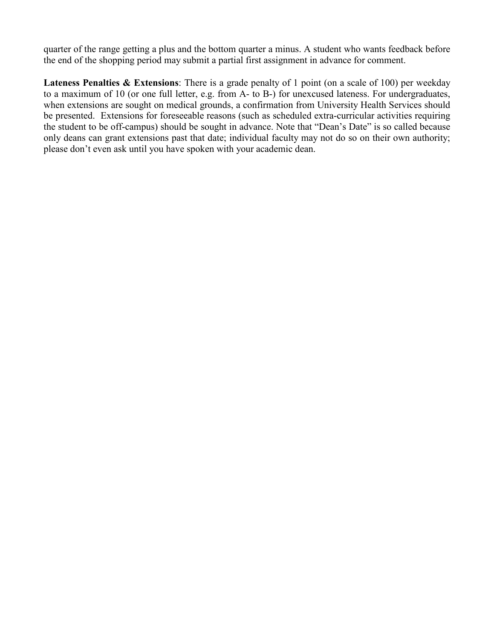quarter of the range getting a plus and the bottom quarter a minus. A student who wants feedback before the end of the shopping period may submit a partial first assignment in advance for comment.

Lateness Penalties & Extensions: There is a grade penalty of 1 point (on a scale of 100) per weekday to a maximum of 10 (or one full letter, e.g. from A- to B-) for unexcused lateness. For undergraduates, when extensions are sought on medical grounds, a confirmation from University Health Services should be presented. Extensions for foreseeable reasons (such as scheduled extra-curricular activities requiring the student to be off-campus) should be sought in advance. Note that "Dean's Date" is so called because only deans can grant extensions past that date; individual faculty may not do so on their own authority; please don't even ask until you have spoken with your academic dean.